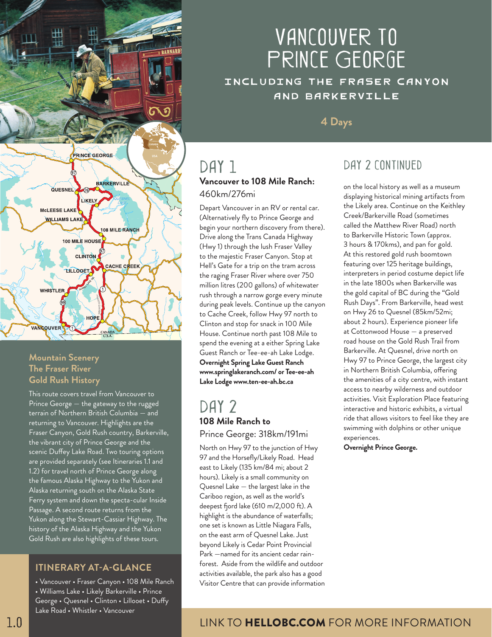

#### **Mountain Scenery The Fraser River Gold Rush History**

This route covers travel from Vancouver to Prince George — the gateway to the rugged terrain of Northern British Columbia — and returning to Vancouver. Highlights are the Fraser Canyon, Gold Rush country, Barkerville, the vibrant city of Prince George and the scenic Duffey Lake Road. Two touring options are provided separately (see Itineraries 1.1 and 1.2) for travel north of Prince George along the famous Alaska Highway to the Yukon and Alaska returning south on the Alaska State Ferry system and down the specta-cular Inside Passage. A second route returns from the Yukon along the Stewart-Cassiar Highway. The history of the Alaska Highway and the Yukon Gold Rush are also highlights of these tours.

#### **ITINERARY AT-A-GLANCE**

• Vancouver • Fraser Canyon • 108 Mile Ranch • Williams Lake • Likely Barkerville • Prince George • Quesnel • Clinton • Lillooet • Duffy Lake Road • Whistler • Vancouver

# Vancouver to Prince George

Including the Fraser Canyon and Barkerville

**4 Days**

# DAY 1 **Vancouver to 108 Mile Ranch:**

# 460km/276mi Depart Vancouver in an RV or rental car.

(Alternatively fly to Prince George and begin your northern discovery from there). Drive along the Trans Canada Highway (Hwy 1) through the lush Fraser Valley to the majestic Fraser Canyon. Stop at Hell's Gate for a trip on the tram across the raging Fraser River where over 750 million litres (200 gallons) of whitewater rush through a narrow gorge every minute during peak levels. Continue up the canyon to Cache Creek, follow Hwy 97 north to Clinton and stop for snack in 100 Mile House. Continue north past 108 Mile to spend the evening at a either Spring Lake Guest Ranch or Tee-ee-ah Lake Lodge. **Overnight Spring Lake Guest Ranch www.springlakeranch.com/ or Tee-ee-ah Lake Lodge www.ten-ee-ah.bc.ca**

## DAY<sub>2</sub> **108 Mile Ranch to**  Prince George: 318km/191mi

North on Hwy 97 to the junction of Hwy 97 and the Horsefly/Likely Road. Head east to Likely (135 km/84 mi; about 2 hours). Likely is a small community on Quesnel Lake — the largest lake in the Cariboo region, as well as the world's deepest fjord lake (610 m/2,000 ft). A highlight is the abundance of waterfalls; one set is known as Little Niagara Falls, on the east arm of Quesnel Lake. Just beyond Likely is Cedar Point Provincial Park —named for its ancient cedar rainforest. Aside from the wildlife and outdoor activities available, the park also has a good Visitor Centre that can provide information

# DAY 2 CONTINUED

on the local history as well as a museum displaying historical mining artifacts from the Likely area. Continue on the Keithley Creek/Barkerville Road (sometimes called the Matthew River Road) north to Barkerville Historic Town (approx. 3 hours & 170kms), and pan for gold. At this restored gold rush boomtown featuring over 125 heritage buildings, interpreters in period costume depict life in the late 1800s when Barkerville was the gold capital of BC during the "Gold Rush Days". From Barkerville, head west on Hwy 26 to Quesnel (85km/52mi; about 2 hours). Experience pioneer life at Cottonwood House — a preserved road house on the Gold Rush Trail from Barkerville. At Quesnel, drive north on Hwy 97 to Prince George, the largest city in Northern British Columbia, offering the amenities of a city centre, with instant access to nearby wilderness and outdoor activities. Visit Exploration Place featuring interactive and historic exhibits, a virtual ride that allows visitors to feel like they are swimming with dolphins or other unique experiences.

**Overnight Prince George.**

## LINK TO HELLOBC.COM FOR MORE INFORMATION